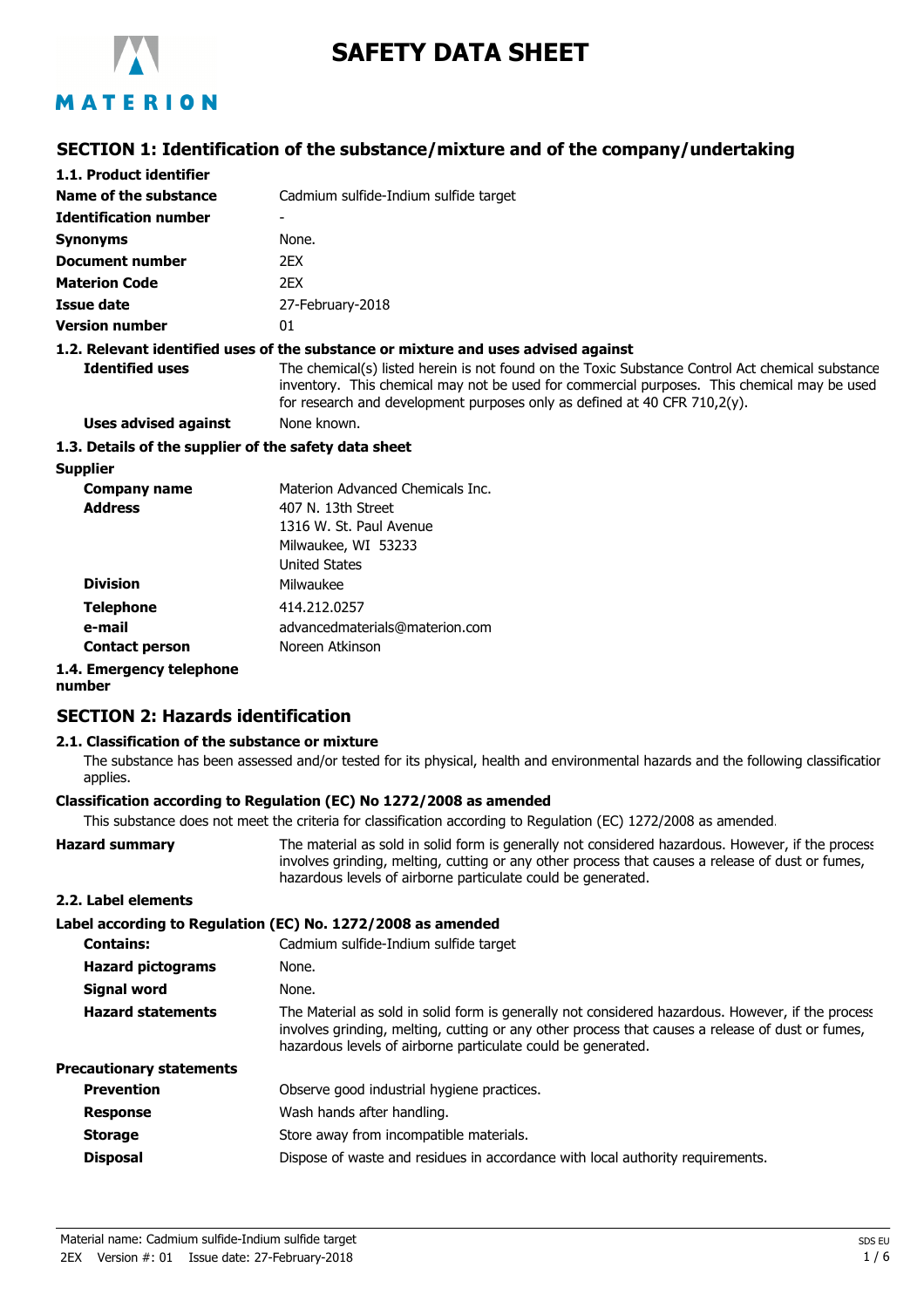

# **SAFETY DATA SHEET**

### **SECTION 1: Identification of the substance/mixture and of the company/undertaking**

| 1.1. Product identifier                               |                                                                                                                                                                                                                                                                              |
|-------------------------------------------------------|------------------------------------------------------------------------------------------------------------------------------------------------------------------------------------------------------------------------------------------------------------------------------|
| <b>Name of the substance</b>                          | Cadmium sulfide-Indium sulfide target                                                                                                                                                                                                                                        |
| <b>Identification number</b>                          |                                                                                                                                                                                                                                                                              |
| Synonyms                                              | None.                                                                                                                                                                                                                                                                        |
| <b>Document number</b>                                | 2EX                                                                                                                                                                                                                                                                          |
| <b>Materion Code</b>                                  | 2EX                                                                                                                                                                                                                                                                          |
| Issue date                                            | 27-February-2018                                                                                                                                                                                                                                                             |
| <b>Version number</b>                                 | 01                                                                                                                                                                                                                                                                           |
|                                                       | 1.2. Relevant identified uses of the substance or mixture and uses advised against                                                                                                                                                                                           |
| <b>Identified uses</b>                                | The chemical(s) listed herein is not found on the Toxic Substance Control Act chemical substance<br>inventory. This chemical may not be used for commercial purposes. This chemical may be used<br>for research and development purposes only as defined at 40 CFR 710,2(y). |
| <b>Uses advised against</b>                           | None known.                                                                                                                                                                                                                                                                  |
| 1.3. Details of the supplier of the safety data sheet |                                                                                                                                                                                                                                                                              |
| <b>Supplier</b>                                       |                                                                                                                                                                                                                                                                              |
| <b>Company name</b>                                   | Materion Advanced Chemicals Inc.                                                                                                                                                                                                                                             |
| <b>Address</b>                                        | 407 N. 13th Street                                                                                                                                                                                                                                                           |
|                                                       | 1316 W. St. Paul Avenue                                                                                                                                                                                                                                                      |
|                                                       | Milwaukee, WI 53233                                                                                                                                                                                                                                                          |
|                                                       | <b>United States</b>                                                                                                                                                                                                                                                         |
| <b>Division</b>                                       | Milwaukee                                                                                                                                                                                                                                                                    |
| <b>Telephone</b>                                      | 414.212.0257                                                                                                                                                                                                                                                                 |
| e-mail                                                | advancedmaterials@materion.com                                                                                                                                                                                                                                               |

**Contact person** Noreen Atkinson

#### **1.4. Emergency telephone**

**number**

### **SECTION 2: Hazards identification**

#### **2.1. Classification of the substance or mixture**

The substance has been assessed and/or tested for its physical, health and environmental hazards and the following classification applies.

#### **Classification according to Regulation (EC) No 1272/2008 as amended**

This substance does not meet the criteria for classification according to Regulation (EC) 1272/2008 as amended.

| <b>Hazard summary</b> | The material as sold in solid form is generally not considered hazardous. However, if the process |
|-----------------------|---------------------------------------------------------------------------------------------------|
|                       | involves grinding, melting, cutting or any other process that causes a release of dust or fumes,  |
|                       | hazardous levels of airborne particulate could be generated.                                      |
| ------                |                                                                                                   |

#### **2.2. Label elements**

| Label according to Regulation (EC) No. 1272/2008 as amended                                                                                                                                                                                                           |
|-----------------------------------------------------------------------------------------------------------------------------------------------------------------------------------------------------------------------------------------------------------------------|
| Cadmium sulfide-Indium sulfide target                                                                                                                                                                                                                                 |
| None.                                                                                                                                                                                                                                                                 |
| None.                                                                                                                                                                                                                                                                 |
| The Material as sold in solid form is generally not considered hazardous. However, if the process<br>involves grinding, melting, cutting or any other process that causes a release of dust or fumes,<br>hazardous levels of airborne particulate could be generated. |
|                                                                                                                                                                                                                                                                       |
| Observe good industrial hygiene practices.                                                                                                                                                                                                                            |
| Wash hands after handling.                                                                                                                                                                                                                                            |
| Store away from incompatible materials.                                                                                                                                                                                                                               |
| Dispose of waste and residues in accordance with local authority requirements.                                                                                                                                                                                        |
|                                                                                                                                                                                                                                                                       |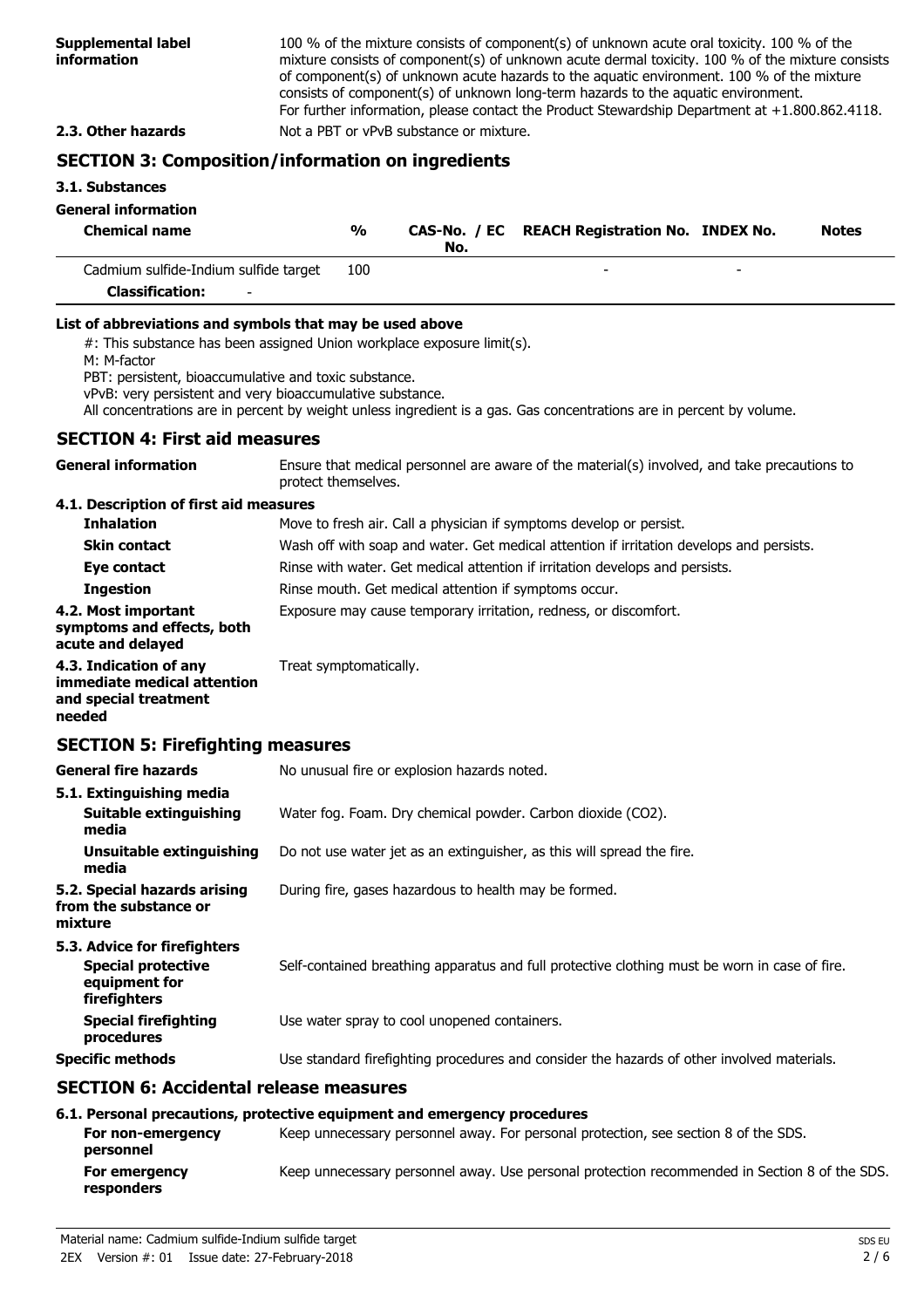100 % of the mixture consists of component(s) of unknown acute oral toxicity. 100 % of the mixture consists of component(s) of unknown acute dermal toxicity. 100 % of the mixture consists of component(s) of unknown acute hazards to the aquatic environment. 100 % of the mixture consists of component(s) of unknown long-term hazards to the aquatic environment. For further information, please contact the Product Stewardship Department at +1.800.862.4118. **2.3. Other hazards** Not a PBT or vPvB substance or mixture.

### **SECTION 3: Composition/information on ingredients**

#### **3.1. Substances**

#### **General information**

| <b>Chemical name</b>                                            | %   | No. | CAS-No. / EC REACH Registration No. INDEX No. | <b>Notes</b> |
|-----------------------------------------------------------------|-----|-----|-----------------------------------------------|--------------|
| Cadmium sulfide-Indium sulfide target                           | 100 |     |                                               |              |
| $\mathbf{C}$ and $\mathbf{C}$ and $\mathbf{C}$ and $\mathbf{C}$ |     |     |                                               |              |

**Classification:** -

#### **List of abbreviations and symbols that may be used above**

#: This substance has been assigned Union workplace exposure limit(s).

M: M-factor

PBT: persistent, bioaccumulative and toxic substance.

vPvB: very persistent and very bioaccumulative substance.

All concentrations are in percent by weight unless ingredient is a gas. Gas concentrations are in percent by volume.

#### **SECTION 4: First aid measures**

| <b>General information</b>                                                                 | Ensure that medical personnel are aware of the material(s) involved, and take precautions to<br>protect themselves. |  |  |
|--------------------------------------------------------------------------------------------|---------------------------------------------------------------------------------------------------------------------|--|--|
| 4.1. Description of first aid measures                                                     |                                                                                                                     |  |  |
| <b>Inhalation</b>                                                                          | Move to fresh air. Call a physician if symptoms develop or persist.                                                 |  |  |
| <b>Skin contact</b>                                                                        | Wash off with soap and water. Get medical attention if irritation develops and persists.                            |  |  |
| Eye contact                                                                                | Rinse with water. Get medical attention if irritation develops and persists.                                        |  |  |
| <b>Ingestion</b>                                                                           | Rinse mouth. Get medical attention if symptoms occur.                                                               |  |  |
| 4.2. Most important<br>symptoms and effects, both<br>acute and delayed                     | Exposure may cause temporary irritation, redness, or discomfort.                                                    |  |  |
| 4.3. Indication of any<br>immediate medical attention<br>and special treatment<br>needed   | Treat symptomatically.                                                                                              |  |  |
| <b>SECTION 5: Firefighting measures</b>                                                    |                                                                                                                     |  |  |
| <b>General fire hazards</b>                                                                | No unusual fire or explosion hazards noted.                                                                         |  |  |
| 5.1. Extinguishing media<br><b>Suitable extinguishing</b><br>media                         | Water fog. Foam. Dry chemical powder. Carbon dioxide (CO2).                                                         |  |  |
| <b>Unsuitable extinguishing</b><br>media                                                   | Do not use water jet as an extinguisher, as this will spread the fire.                                              |  |  |
| 5.2. Special hazards arising<br>from the substance or<br>mixture                           | During fire, gases hazardous to health may be formed.                                                               |  |  |
| 5.3. Advice for firefighters<br><b>Special protective</b><br>equipment for<br>firefighters | Self-contained breathing apparatus and full protective clothing must be worn in case of fire.                       |  |  |
| <b>Special firefighting</b><br>procedures                                                  | Use water spray to cool unopened containers.                                                                        |  |  |
| <b>Specific methods</b>                                                                    | Use standard firefighting procedures and consider the hazards of other involved materials.                          |  |  |
| <b>SECTION 6: Accidental release measures</b>                                              |                                                                                                                     |  |  |
|                                                                                            | 6.1. Personal precautions, protective equipment and emergency procedures                                            |  |  |
| For non-emergency                                                                          | Keep unnecessary personnel away. For personal protection, see section 8 of the SDS.                                 |  |  |

**personnel For emergency** Keep unnecessary personnel away. Use personal protection recommended in Section 8 of the SDS. **responders**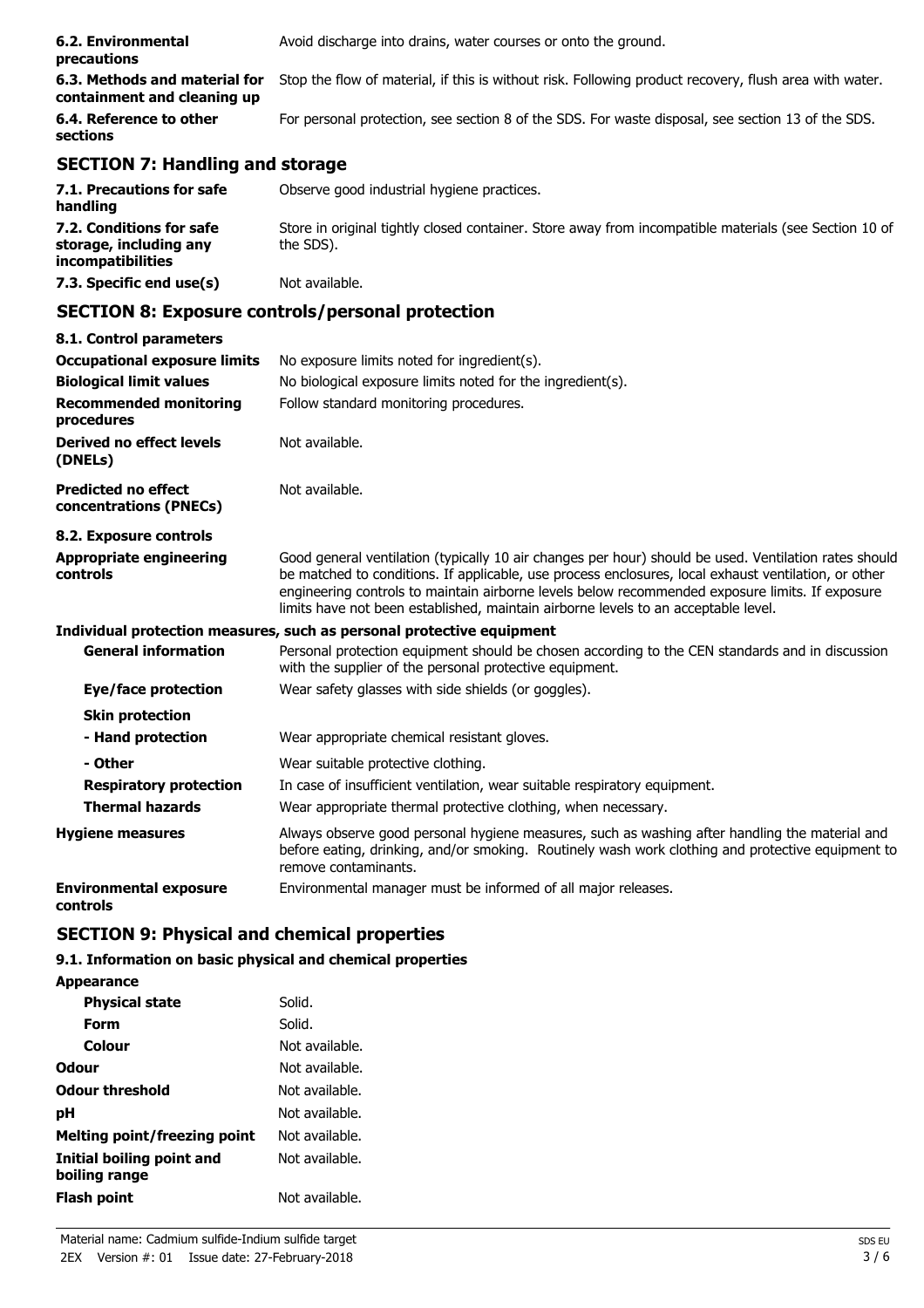| 6.2. Environmental<br>precautions                            | Avoid discharge into drains, water courses or onto the ground.                                         |
|--------------------------------------------------------------|--------------------------------------------------------------------------------------------------------|
| 6.3. Methods and material for<br>containment and cleaning up | Stop the flow of material, if this is without risk. Following product recovery, flush area with water. |
| 6.4. Reference to other<br>sections                          | For personal protection, see section 8 of the SDS. For waste disposal, see section 13 of the SDS.      |

### **SECTION 7: Handling and storage**

| 7.1. Precautions for safe<br>handling                                   | Observe good industrial hygiene practices.                                                                         |
|-------------------------------------------------------------------------|--------------------------------------------------------------------------------------------------------------------|
| 7.2. Conditions for safe<br>storage, including any<br>incompatibilities | Store in original tightly closed container. Store away from incompatible materials (see Section 10 of<br>the SDS). |
| 7.3. Specific end use(s)                                                | Not available.                                                                                                     |

### **SECTION 8: Exposure controls/personal protection**

| 8.1. Control parameters                              |                                                                                                                                                                                                                                                                                                                                                                                                        |
|------------------------------------------------------|--------------------------------------------------------------------------------------------------------------------------------------------------------------------------------------------------------------------------------------------------------------------------------------------------------------------------------------------------------------------------------------------------------|
| <b>Occupational exposure limits</b>                  | No exposure limits noted for ingredient(s).                                                                                                                                                                                                                                                                                                                                                            |
| <b>Biological limit values</b>                       | No biological exposure limits noted for the ingredient(s).                                                                                                                                                                                                                                                                                                                                             |
| <b>Recommended monitoring</b><br>procedures          | Follow standard monitoring procedures.                                                                                                                                                                                                                                                                                                                                                                 |
| Derived no effect levels<br>(DNELs)                  | Not available.                                                                                                                                                                                                                                                                                                                                                                                         |
| <b>Predicted no effect</b><br>concentrations (PNECs) | Not available.                                                                                                                                                                                                                                                                                                                                                                                         |
| 8.2. Exposure controls                               |                                                                                                                                                                                                                                                                                                                                                                                                        |
| <b>Appropriate engineering</b><br>controls           | Good general ventilation (typically 10 air changes per hour) should be used. Ventilation rates should<br>be matched to conditions. If applicable, use process enclosures, local exhaust ventilation, or other<br>engineering controls to maintain airborne levels below recommended exposure limits. If exposure<br>limits have not been established, maintain airborne levels to an acceptable level. |
|                                                      | Individual protection measures, such as personal protective equipment                                                                                                                                                                                                                                                                                                                                  |
| <b>General information</b>                           | Personal protection equipment should be chosen according to the CEN standards and in discussion<br>with the supplier of the personal protective equipment.                                                                                                                                                                                                                                             |
| Eye/face protection                                  | Wear safety glasses with side shields (or goggles).                                                                                                                                                                                                                                                                                                                                                    |
| <b>Skin protection</b>                               |                                                                                                                                                                                                                                                                                                                                                                                                        |
| - Hand protection                                    | Wear appropriate chemical resistant gloves.                                                                                                                                                                                                                                                                                                                                                            |
| - Other                                              | Wear suitable protective clothing.                                                                                                                                                                                                                                                                                                                                                                     |
| <b>Respiratory protection</b>                        | In case of insufficient ventilation, wear suitable respiratory equipment.                                                                                                                                                                                                                                                                                                                              |
| <b>Thermal hazards</b>                               | Wear appropriate thermal protective clothing, when necessary.                                                                                                                                                                                                                                                                                                                                          |
| <b>Hygiene measures</b>                              | Always observe good personal hygiene measures, such as washing after handling the material and<br>before eating, drinking, and/or smoking. Routinely wash work clothing and protective equipment to<br>remove contaminants.                                                                                                                                                                            |
| <b>Environmental exposure</b><br>controls            | Environmental manager must be informed of all major releases.                                                                                                                                                                                                                                                                                                                                          |

## **SECTION 9: Physical and chemical properties**

### **9.1. Information on basic physical and chemical properties**

| <b>Appearance</b>                          |                |
|--------------------------------------------|----------------|
| <b>Physical state</b>                      | Solid.         |
| Form                                       | Solid.         |
| Colour                                     | Not available. |
| Odour                                      | Not available. |
| <b>Odour threshold</b>                     | Not available. |
| рH                                         | Not available. |
| <b>Melting point/freezing point</b>        | Not available. |
| Initial boiling point and<br>boiling range | Not available. |
| Flash point                                | Not available. |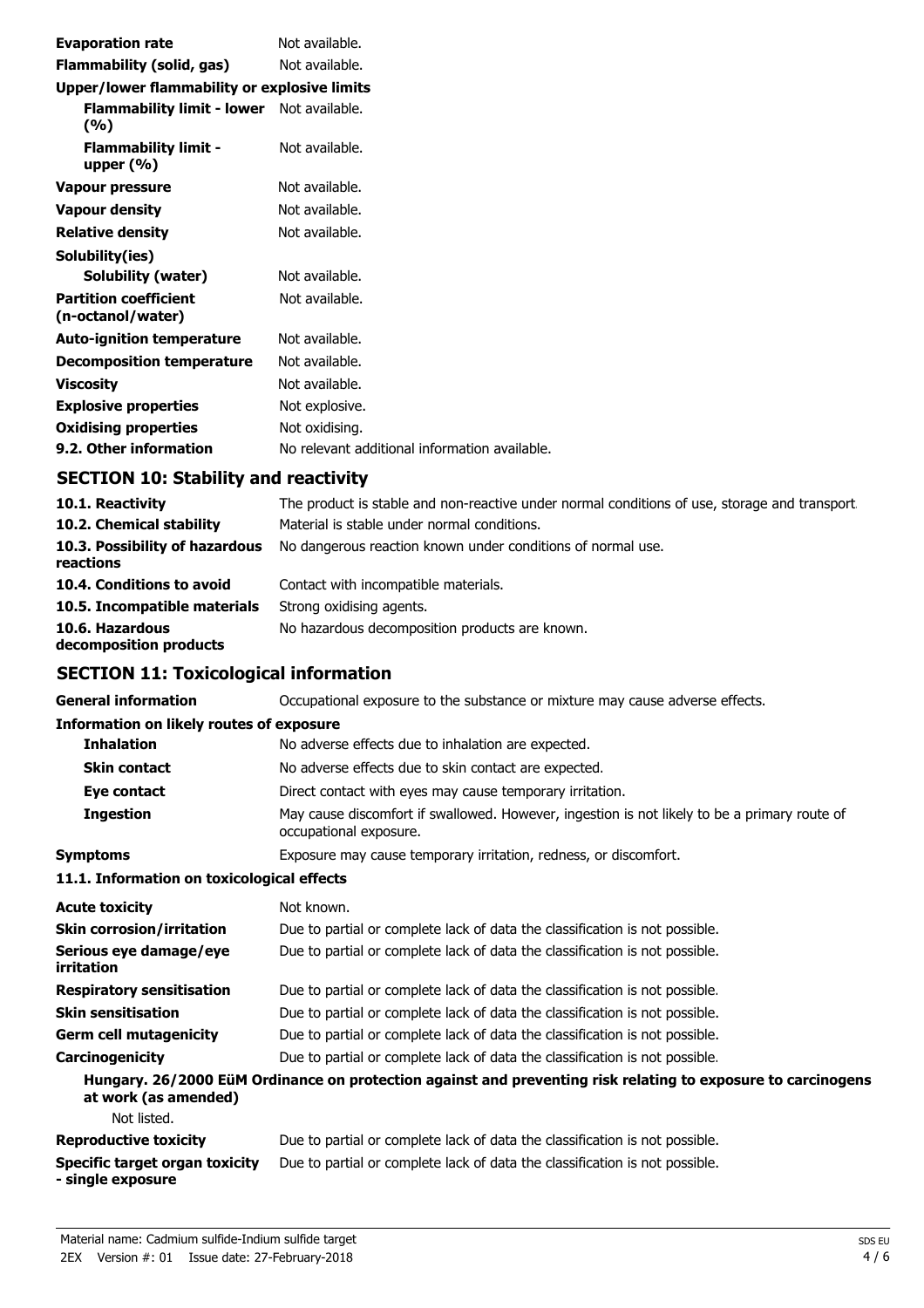| <b>Evaporation rate</b>                           | Not available.                                |
|---------------------------------------------------|-----------------------------------------------|
| Flammability (solid, gas)                         | Not available.                                |
| Upper/lower flammability or explosive limits      |                                               |
| Flammability limit - lower Not available.<br>(%)  |                                               |
| <b>Flammability limit -</b><br>upper $(\%)$       | Not available.                                |
| Vapour pressure                                   | Not available.                                |
| <b>Vapour density</b>                             | Not available.                                |
| <b>Relative density</b>                           | Not available.                                |
| Solubility(ies)                                   |                                               |
| Solubility (water)                                | Not available.                                |
| <b>Partition coefficient</b><br>(n-octanol/water) | Not available.                                |
| <b>Auto-ignition temperature</b>                  | Not available.                                |
| <b>Decomposition temperature</b>                  | Not available.                                |
| <b>Viscosity</b>                                  | Not available.                                |
| <b>Explosive properties</b>                       | Not explosive.                                |
| <b>Oxidising properties</b>                       | Not oxidising.                                |
| 9.2. Other information                            | No relevant additional information available. |

## **SECTION 10: Stability and reactivity**

| 10.1. Reactivity                            | The product is stable and non-reactive under normal conditions of use, storage and transport |
|---------------------------------------------|----------------------------------------------------------------------------------------------|
| 10.2. Chemical stability                    | Material is stable under normal conditions.                                                  |
| 10.3. Possibility of hazardous<br>reactions | No dangerous reaction known under conditions of normal use.                                  |
| 10.4. Conditions to avoid                   | Contact with incompatible materials.                                                         |
| 10.5. Incompatible materials                | Strong oxidising agents.                                                                     |
| 10.6. Hazardous<br>decomposition products   | No hazardous decomposition products are known.                                               |

## **SECTION 11: Toxicological information**

| <b>General information</b>                                 | Occupational exposure to the substance or mixture may cause adverse effects.                                           |  |  |
|------------------------------------------------------------|------------------------------------------------------------------------------------------------------------------------|--|--|
| <b>Information on likely routes of exposure</b>            |                                                                                                                        |  |  |
| <b>Inhalation</b>                                          | No adverse effects due to inhalation are expected.                                                                     |  |  |
| <b>Skin contact</b>                                        | No adverse effects due to skin contact are expected.                                                                   |  |  |
| Eye contact                                                | Direct contact with eyes may cause temporary irritation.                                                               |  |  |
| <b>Ingestion</b>                                           | May cause discomfort if swallowed. However, ingestion is not likely to be a primary route of<br>occupational exposure. |  |  |
| <b>Symptoms</b>                                            | Exposure may cause temporary irritation, redness, or discomfort.                                                       |  |  |
| 11.1. Information on toxicological effects                 |                                                                                                                        |  |  |
| <b>Acute toxicity</b>                                      | Not known.                                                                                                             |  |  |
| <b>Skin corrosion/irritation</b>                           | Due to partial or complete lack of data the classification is not possible.                                            |  |  |
| Serious eye damage/eye<br>irritation                       | Due to partial or complete lack of data the classification is not possible.                                            |  |  |
| <b>Respiratory sensitisation</b>                           | Due to partial or complete lack of data the classification is not possible.                                            |  |  |
| <b>Skin sensitisation</b>                                  | Due to partial or complete lack of data the classification is not possible.                                            |  |  |
| <b>Germ cell mutagenicity</b>                              | Due to partial or complete lack of data the classification is not possible.                                            |  |  |
| Carcinogenicity                                            | Due to partial or complete lack of data the classification is not possible.                                            |  |  |
| at work (as amended)                                       | Hungary. 26/2000 EüM Ordinance on protection against and preventing risk relating to exposure to carcinogens           |  |  |
| Not listed.                                                |                                                                                                                        |  |  |
| <b>Reproductive toxicity</b>                               | Due to partial or complete lack of data the classification is not possible.                                            |  |  |
| <b>Specific target organ toxicity</b><br>- single exposure | Due to partial or complete lack of data the classification is not possible.                                            |  |  |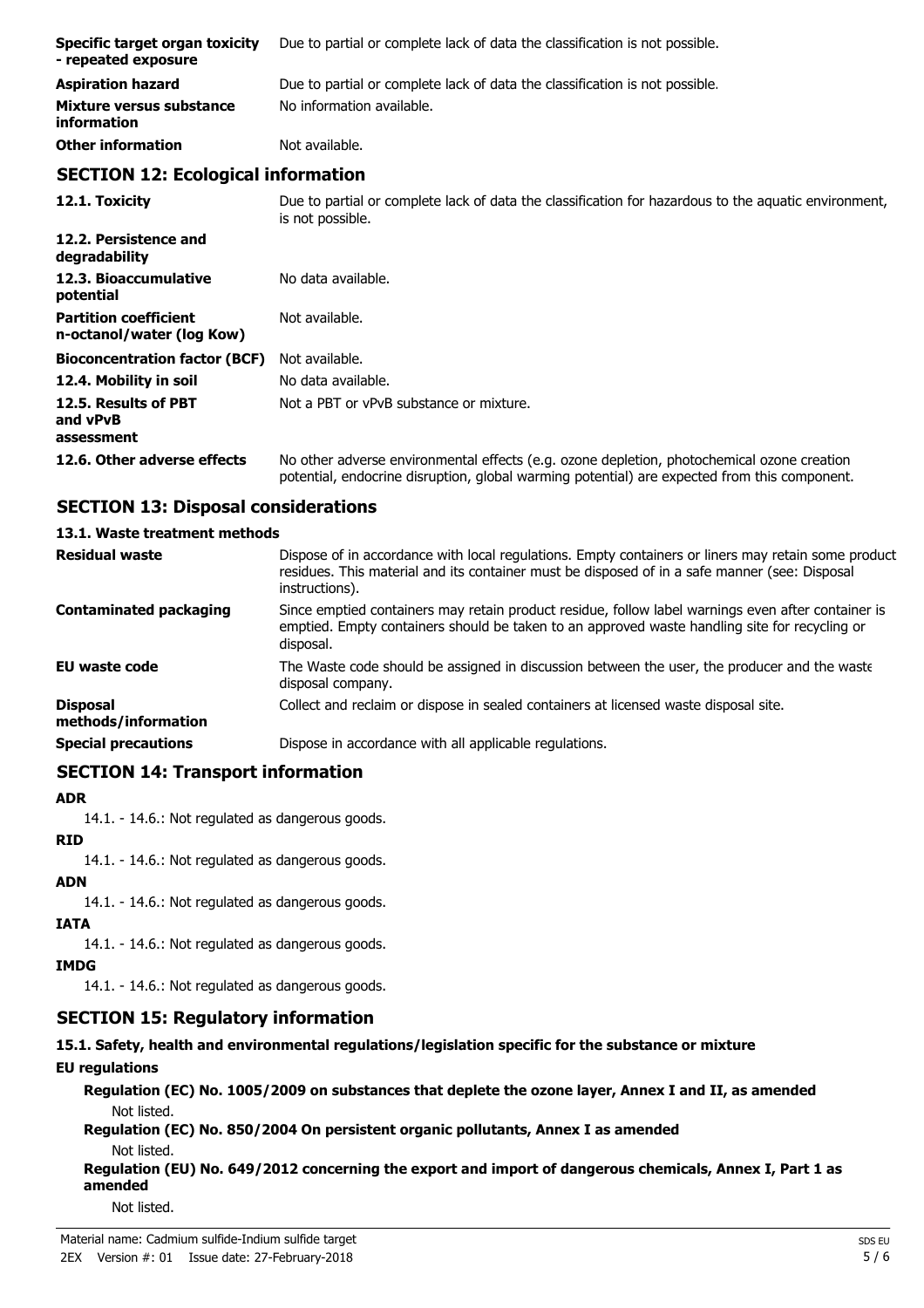| Specific target organ toxicity<br>- repeated exposure     | Due to partial or complete lack of data the classification is not possible.                                              |  |
|-----------------------------------------------------------|--------------------------------------------------------------------------------------------------------------------------|--|
| <b>Aspiration hazard</b>                                  | Due to partial or complete lack of data the classification is not possible.                                              |  |
| Mixture versus substance<br>information                   | No information available.                                                                                                |  |
| <b>Other information</b>                                  | Not available.                                                                                                           |  |
| <b>SECTION 12: Ecological information</b>                 |                                                                                                                          |  |
| 12.1. Toxicity                                            | Due to partial or complete lack of data the classification for hazardous to the aquatic environment,<br>is not possible. |  |
| 12.2. Persistence and<br>degradability                    |                                                                                                                          |  |
| 12.3. Bioaccumulative<br>potential                        | No data available.                                                                                                       |  |
| <b>Partition coefficient</b><br>n-octanol/water (log Kow) | Not available.                                                                                                           |  |
| <b>Bioconcentration factor (BCF)</b>                      | Not available.                                                                                                           |  |
| 12.4. Mobility in soil                                    | No data available.                                                                                                       |  |
| 12.5. Results of PBT                                      | Not a PBT or vPvB substance or mixture.                                                                                  |  |

### **12.6. Other adverse effects** No other adverse environmental effects (e.g. ozone depletion, photochemical ozone creation potential, endocrine disruption, global warming potential) are expected from this component.

### **SECTION 13: Disposal considerations**

#### **13.1. Waste treatment methods**

| <b>Residual waste</b>                  | Dispose of in accordance with local regulations. Empty containers or liners may retain some product<br>residues. This material and its container must be disposed of in a safe manner (see: Disposal<br>instructions). |
|----------------------------------------|------------------------------------------------------------------------------------------------------------------------------------------------------------------------------------------------------------------------|
| <b>Contaminated packaging</b>          | Since emptied containers may retain product residue, follow label warnings even after container is<br>emptied. Empty containers should be taken to an approved waste handling site for recycling or<br>disposal.       |
| EU waste code                          | The Waste code should be assigned in discussion between the user, the producer and the waste<br>disposal company.                                                                                                      |
| <b>Disposal</b><br>methods/information | Collect and reclaim or dispose in sealed containers at licensed waste disposal site.                                                                                                                                   |
| <b>Special precautions</b>             | Dispose in accordance with all applicable regulations.                                                                                                                                                                 |
|                                        |                                                                                                                                                                                                                        |

### **SECTION 14: Transport information**

#### **ADR**

**and vPvB assessment**

14.1. - 14.6.: Not regulated as dangerous goods.

#### **RID**

14.1. - 14.6.: Not regulated as dangerous goods.

#### **ADN**

14.1. - 14.6.: Not regulated as dangerous goods.

### **IATA**

14.1. - 14.6.: Not regulated as dangerous goods.

### **IMDG**

14.1. - 14.6.: Not regulated as dangerous goods.

### **SECTION 15: Regulatory information**

### **15.1. Safety, health and environmental regulations/legislation specific for the substance or mixture**

### **EU regulations**

**Regulation (EC) No. 1005/2009 on substances that deplete the ozone layer, Annex I and II, as amended** Not listed.

**Regulation (EC) No. 850/2004 On persistent organic pollutants, Annex I as amended** Not listed.

**Regulation (EU) No. 649/2012 concerning the export and import of dangerous chemicals, Annex I, Part 1 as amended**

Not listed.